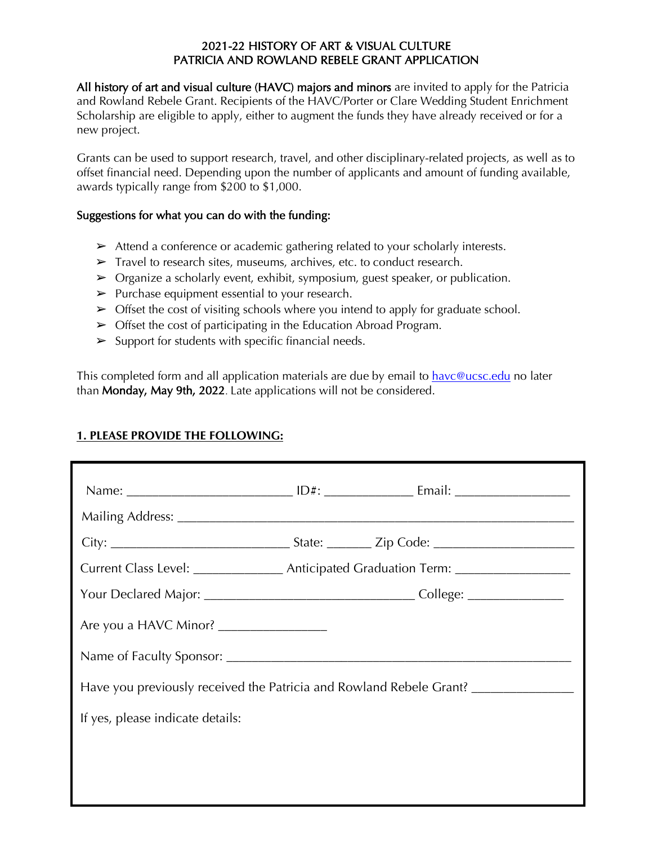## 2021-22 HISTORY OF ART & VISUAL CULTURE PATRICIA AND ROWLAND REBELE GRANT APPLICATION

All history of art and visual culture (HAVC) majors and minors are invited to apply for the Patricia and Rowland Rebele Grant. Recipients of the HAVC/Porter or Clare Wedding Student Enrichment Scholarship are eligible to apply, either to augment the funds they have already received or for a new project.

Grants can be used to support research, travel, and other disciplinary-related projects, as well as to offset financial need. Depending upon the number of applicants and amount of funding available, awards typically range from \$200 to \$1,000.

## Suggestions for what you can do with the funding:

- ➢ Attend a conference or academic gathering related to your scholarly interests.
- ➢ Travel to research sites, museums, archives, etc. to conduct research.
- $\triangleright$  Organize a scholarly event, exhibit, symposium, guest speaker, or publication.
- $\triangleright$  Purchase equipment essential to your research.
- $\triangleright$  Offset the cost of visiting schools where you intend to apply for graduate school.
- $\triangleright$  Offset the cost of participating in the Education Abroad Program.
- $\triangleright$  Support for students with specific financial needs.

This completed form and all application materials are due by email to havc@ucsc.edu no later than Monday, May 9th, 2022. Late applications will not be considered.

#### **1. PLEASE PROVIDE THE FOLLOWING:**

|                                                                                   |  | Current Class Level: ___________________ Anticipated Graduation Term: _________________ |  |
|-----------------------------------------------------------------------------------|--|-----------------------------------------------------------------------------------------|--|
|                                                                                   |  |                                                                                         |  |
| Are you a HAVC Minor? ___________________                                         |  |                                                                                         |  |
|                                                                                   |  |                                                                                         |  |
| Have you previously received the Patricia and Rowland Rebele Grant? _____________ |  |                                                                                         |  |
| If yes, please indicate details:                                                  |  |                                                                                         |  |
|                                                                                   |  |                                                                                         |  |
|                                                                                   |  |                                                                                         |  |
|                                                                                   |  |                                                                                         |  |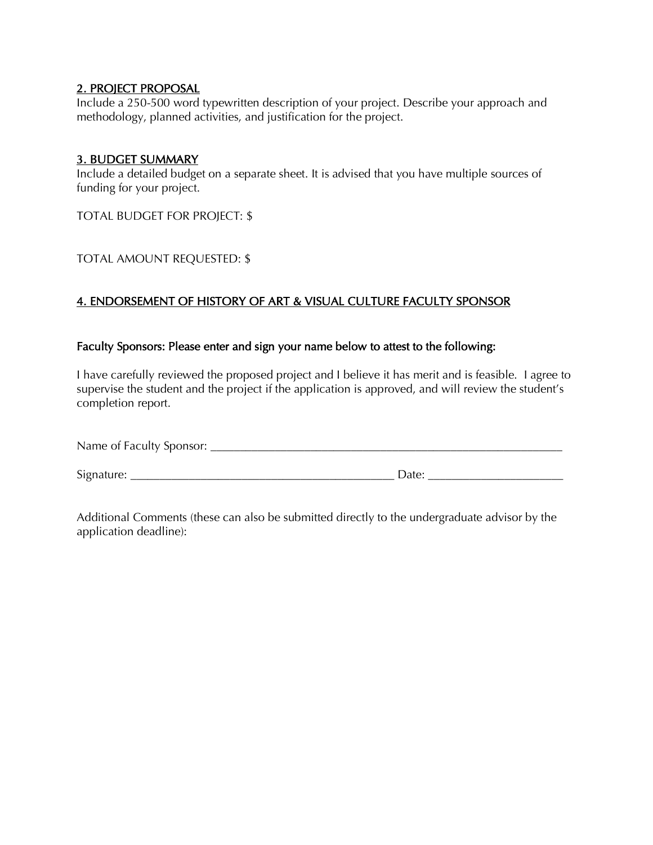#### 2. PROJECT PROPOSAL

Include a 250-500 word typewritten description of your project. Describe your approach and methodology, planned activities, and justification for the project.

#### 3. BUDGET SUMMARY

Include a detailed budget on a separate sheet. It is advised that you have multiple sources of funding for your project.

TOTAL BUDGET FOR PROJECT: \$

## TOTAL AMOUNT REQUESTED: \$

# 4. ENDORSEMENT OF HISTORY OF ART & VISUAL CULTURE FACULTY SPONSOR

#### Faculty Sponsors: Please enter and sign your name below to attest to the following:

I have carefully reviewed the proposed project and I believe it has merit and is feasible. I agree to supervise the student and the project if the application is approved, and will review the student's completion report.

| Name of Faculty Sponsor: |  |
|--------------------------|--|
|--------------------------|--|

Signature: \_\_\_\_\_\_\_\_\_\_\_\_\_\_\_\_\_\_\_\_\_\_\_\_\_\_\_\_\_\_\_\_\_\_\_\_\_\_\_\_\_\_\_\_\_ Date: \_\_\_\_\_\_\_\_\_\_\_\_\_\_\_\_\_\_\_\_\_\_\_

Additional Comments (these can also be submitted directly to the undergraduate advisor by the application deadline):